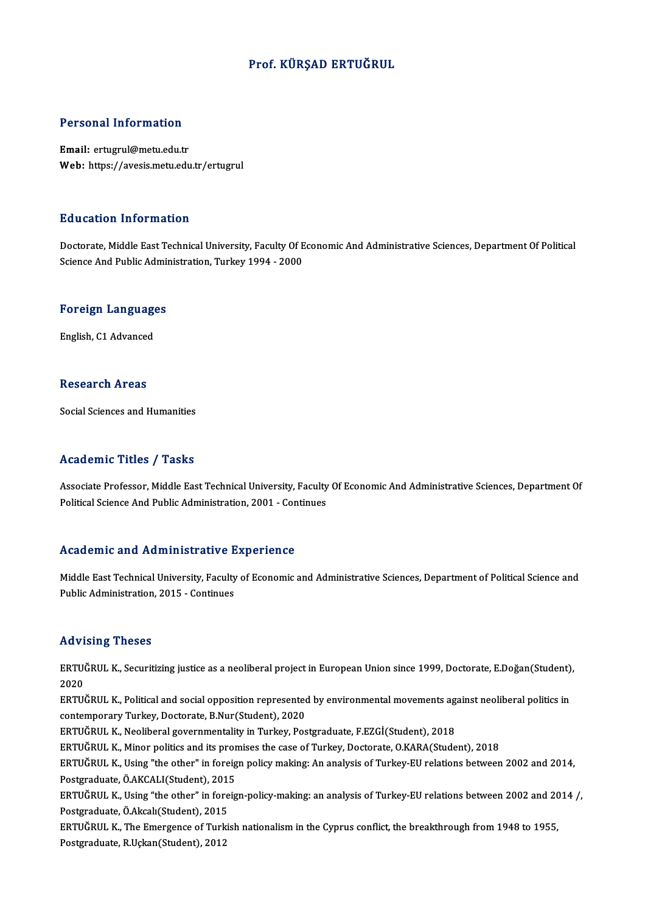### Prof. KÜRŞAD ERTUĞRUL

### Personal Information

Email: ertugrul@metu.edu.tr Web: https://avesis.metu.edu.tr/ertugrul

### Education Information

Education Information<br>Doctorate, Middle East Technical University, Faculty Of Economic And Administrative Sciences, Department Of Political<br>Science And Public Administration Turkey 1994–2000 ScienceAndrical Interview<br>Doctorate, Middle East Technical University, Faculty Of E<br>Science And Public Administration, Turkey 1994 - 2000

# science And Public Admil<br>Foreign Languages <mark>Foreign Language</mark><br>English, C1 Advanced

English, C1 Advanced<br>Research Areas

Social Sciences and Humanities

### Academic Titles / Tasks

Associate Professor, Middle East Technical University, Faculty Of Economic And Administrative Sciences, Department Of Political Science And Public Administration, 2001 - Continues

### Academic and Administrative Experience

Academic and Administrative Experience<br>Middle East Technical University, Faculty of Economic and Administrative Sciences, Department of Political Science and<br>Publis Administration 2015, Continues Middle East Technical University, Faculty<br>Public Administration, 2015 - Continues Public Administration, 2015 - Continues<br>Advising Theses

**Advising Theses**<br>ERTUĞRUL K., Securitizing justice as a neoliberal project in European Union since 1999, Doctorate, E.Doğan(Student),<br>2020 rravi<br>ERTU(<br>2020<br>ERTU( ERTUĞRUL K., Securitizing justice as a neoliberal project in European Union since 1999, Doctorate, E.Doğan(Student)<br>2020<br>ERTUĞRUL K., Political and social opposition represented by environmental movements against neolibera

2020<br>ERTUĞRUL K., Political and social opposition represented by environmental movements against neoliberal politics in<br>contemporary Turkey, Doctorate, B.Nur(Student), 2020

ERTUĞRUL K., Neoliberal governmentality in Turkey, Postgraduate, F.EZGİ(Student), 2018

ERTUĞRUL K., Minor politics and its promises the case of Turkey, Doctorate, O.KARA(Student), 2018

ERTUĞRUL K., Neoliberal governmentality in Turkey, Postgraduate, F.EZGİ(Student), 2018<br>ERTUĞRUL K., Minor politics and its promises the case of Turkey, Doctorate, O.KARA(Student), 2018<br>ERTUĞRUL K., Using "the other" in for ERTUĞRUL K., Minor politics and its prom<br>ERTUĞRUL K., Using "the other" in foreig<br>Postgraduate, Ö.AKCALI(Student), 2015<br>ERTUĞRUL K. Haing "the other" in foreig ERTUĞRUL K., Using "the other" in foreign policy making: An analysis of Turkey-EU relations between 2002 and 2014,<br>Postgraduate, Ö.AKCALI(Student), 2015<br>ERTUĞRUL K., Using "the other" in foreign-policy-making: an analysis

Postgraduate, Ö.AKCALI(Student), 201!<br>ERTUĞRUL K., Using "the other" in fore<br>Postgraduate, Ö.Akcalı(Student), 2015<br>ERTUĞRUL K. The Emergence of Turki ERTUĞRUL K., Using "the other" in foreign-policy-making: an analysis of Turkey-EU relations between 2002 and 20<br>Postgraduate, Ö.Akcalı(Student), 2015<br>ERTUĞRUL K., The Emergence of Turkish nationalism in the Cyprus conflict

Postgraduate, Ö.Akcalı(Student), 2015<br>ERTUĞRUL K., The Emergence of Turkish nationalism in the Cyprus conflict, the breakthrough from 1948 to 1955,<br>Postgraduate, R.Uçkan(Student), 2012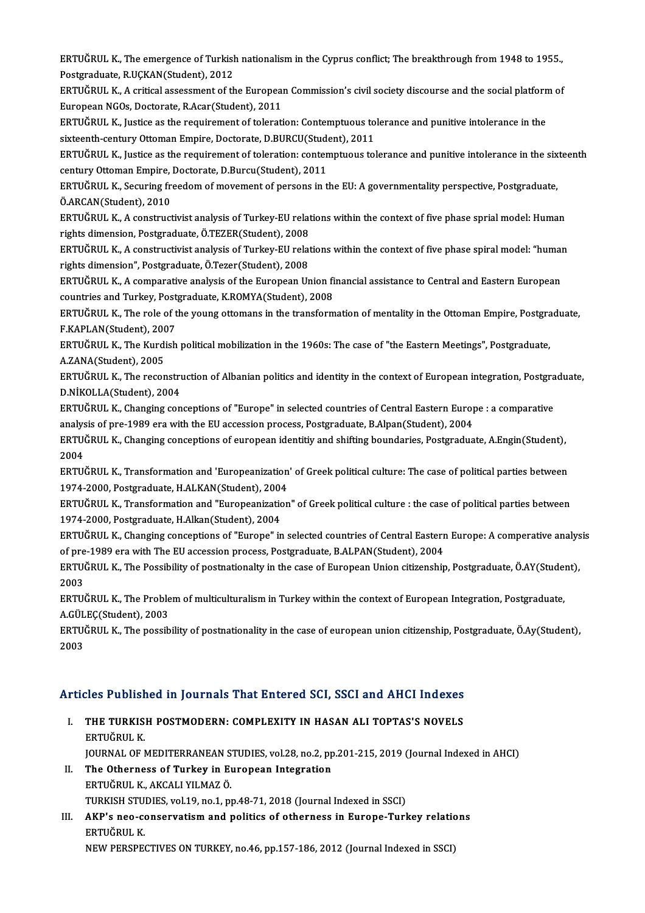ERTUĞRUL K., The emergence of Turkish nationalism in the Cyprus conflict; The breakthrough from 1948 to 1955.,<br>Restanaduate B.UCKAN(Student), 2012. **ERTUĞRUL K., The emergence of Turkish**<br>Postgraduate, R.UÇKAN(Student), 2012<br>FRTUĞRUL K. A eritisel essesement of th ERTUĞRUL K., The emergence of Turkish nationalism in the Cyprus conflict; The breakthrough from 1948 to 1955.,<br>Postgraduate, R.UÇKAN(Student), 2012<br>ERTUĞRUL K., A critical assessment of the European Commission's civil soci

Postgraduate, R.UÇKAN(Student), 2012<br>ERTUĞRUL K., A critical assessment of the European Commission's civil society discourse and the social platform of<br>European NGOs, Doctorate, R.Acar(Student), 2011 ERTUĞRUL K., A critical assessment of the European Commission's civil society discourse and the social platform<br>European NGOs, Doctorate, R.Acar(Student), 2011<br>ERTUĞRUL K., Justice as the requirement of toleration: Contemp

European NGOs, Doctorate, R.Acar(Student), 2011<br>ERTUĞRUL K., Justice as the requirement of toleration: Contemptuous to<br>sixteenth-century Ottoman Empire, Doctorate, D.BURCU(Student), 2011<br>EPTUČPUL K. Justice as the requirem ERTUĞRUL K., Justice as the requirement of toleration: Contemptuous tolerance and punitive intolerance in the<br>sixteenth-century Ottoman Empire, Doctorate, D.BURCU(Student), 2011<br>ERTUĞRUL K., Justice as the requirement of t

sixteenth-century Ottoman Empire, Doctorate, D.BURCU(Student)<br>ERTUĞRUL K., Justice as the requirement of toleration: content<br>century Ottoman Empire, Doctorate, D.Burcu(Student), 2011<br>EPTUĞRUL K. Socuring freedom of movemen ERTUĞRUL K., Justice as the requirement of toleration: contemptuous tolerance and punitive intolerance in the six<br>century Ottoman Empire, Doctorate, D.Burcu(Student), 2011<br>ERTUĞRUL K., Securing freedom of movement of perso

**Century Ottoman Empire,<br>ERTUĞRUL K., Securing fr.<br>Ö.ARCAN(Student), 2010** ERTUĞRUL K., Securing freedom of movement of persons in the EU: A governmentality perspective, Postgraduate,<br>Ö.ARCAN(Student), 2010<br>ERTUĞRUL K., A constructivist analysis of Turkey-EU relations within the context of five p

Ö.ARCAN(Student), 2010<br>ERTUĞRUL K., A constructivist analysis of Turkey-EU relat<br>rights dimension, Postgraduate, Ö.TEZER(Student), 2008<br>ERTUĞRUL K. A constructivist analysis of Turkey EU relat ERTUĞRUL K., A constructivist analysis of Turkey-EU relations within the context of five phase sprial model: Human<br>rights dimension, Postgraduate, Ö.TEZER(Student), 2008<br>ERTUĞRUL K., A constructivist analysis of Turkey-EU

rights dimension, Postgraduate, Ö.TEZER(Student), 2008<br>ERTUĞRUL K., A constructivist analysis of Turkey-EU rela<br>rights dimension", Postgraduate, Ö.Tezer(Student), 2008 ERTUĞRUL K., A constructivist analysis of Turkey-EU relations within the context of five phase spiral model: "human

ERTUĞRUL K., A comparative analysis of the European Union financial assistance to Central and Eastern European countries and Turkey, Postgraduate, K.ROMYA(Student), 2008

ERTUĞRUL K., The role of the young ottomans in the transformation of mentality in the Ottoman Empire, Postgraduate,<br>F.KAPLAN(Student), 2007 ERTUĞRUL K., The role of the young ottomans in the transformation of mentality in the Ottoman Empire, Postgra<br>F.KAPLAN(Student), 2007<br>ERTUĞRUL K., The Kurdish political mobilization in the 1960s: The case of "the Eastern M

F.KAPLAN(Student), 200<br>ERTUĞRUL K., The Kurdi<br>A.ZANA(Student), 2005<br>EPTUĞRUL K. The reser ERTUĞRUL K., The Kurdish political mobilization in the 1960s: The case of "the Eastern Meetings", Postgraduate,<br>A.ZANA(Student), 2005<br>ERTUĞRUL K., The reconstruction of Albanian politics and identity in the context of Euro

A.ZANA(Student), 2005<br>ERTUĞRUL K., The reconstruction of Albanian politics and identity in the context of European integration, Postgraduate,<br>D.NİKOLLA(Student), 2004 ERTUĞRUL K., The reconstruction of Albanian politics and identity in the context of European integration, Postgra<br>D.NİKOLLA(Student), 2004<br>ERTUĞRUL K., Changing conceptions of "Europe" in selected countries of Central East

D.NİKOLLA(Student), 2004<br>ERTUĞRUL K., Changing conceptions of "Europe" in selected countries of Central Eastern Europ<br>analysis of pre-1989 era with the EU accession process, Postgraduate, B.Alpan(Student), 2004<br>EPTUČPUL K. ERTUĞRUL K., Changing conceptions of "Europe" in selected countries of Central Eastern Europe : a comparative<br>analysis of pre-1989 era with the EU accession process, Postgraduate, B.Alpan(Student), 2004<br>ERTUĞRUL K., Changi

analysis of pre-1989 era with the EU accession process, Postgraduate, B.Alpan(Student), 2004<br>ERTUĞRUL K., Changing conceptions of european identitiy and shifting boundaries, Postgraduate, A.Engin(Student),<br>2004<br>ERTUĞRUL K. ERTUĞRUL K., Changing conceptions of european identitiy and shifting boundaries, Postgraduate, A.Engin(Student),

1974-2000, Postgraduate, H.ALKAN(Student), 2004 ERTUĞRUL K., Transformation and 'Europeanization' of Greek political culture: The case of political parties between<br>1974-2000, Postgraduate, H.ALKAN(Student), 2004<br>ERTUĞRUL K., Transformation and "Europeanization" of Greek

1974-2000, Postgraduate, H.ALKAN(Student), 2004<br>ERTUĞRUL K., Transformation and "Europeanization"<br>1974-2000, Postgraduate, H.Alkan(Student), 2004<br>EPTUĞRUL K. Changing sonsentions of "Europe" in ERTUĞRUL K., Transformation and "Europeanization" of Greek political culture : the case of political parties between<br>1974-2000, Postgraduate, H.Alkan(Student), 2004<br>ERTUĞRUL K., Changing conceptions of "Europe" in selected

1974-2000, Postgraduate, H.Alkan(Student), 2004<br>ERTUĞRUL K., Changing conceptions of "Europe" in selected countries of Central Easterr<br>of pre-1989 era with The EU accession process, Postgraduate, B.ALPAN(Student), 2004<br>ERT ERTUĞRUL K., Changing conceptions of "Europe" in selected countries of Central Eastern Europe: A comperative analysis<br>of pre-1989 era with The EU accession process, Postgraduate, B.ALPAN(Student), 2004<br>ERTUĞRUL K., The Pos

of pre<br>ERTU(<br>2003<br>EPTU ERTUĞRUL K., The Possibility of postnationalty in the case of European Union citizenship, Postgraduate, Ö.AY(Student),<br>2003<br>ERTUĞRUL K., The Problem of multiculturalism in Turkey within the context of European Integration,

ERTUĞRUL K., The Problem of multiculturalism in Turkey within the context of European Integration, Postgraduate, ERTUĞRUL K., The Problem of multiculturalism in Turkey within the context of European Integration, Postgraduate,<br>A.GÜLEÇ(Student), 2003<br>ERTUĞRUL K., The possibility of postnationality in the case of european union citizens

A.GÜL<br>ERTU(<br>2003

# <sub>2003</sub><br>Articles Published in Journals That Entered SCI, SSCI and AHCI Indexes

- rticles Published in Journals That Entered SCI, SSCI and AHCI Indexes<br>I. THE TURKISH POSTMODERN: COMPLEXITY IN HASAN ALI TOPTAS'S NOVELS<br>EPTIČPIH K I. THE TURKISH POSTMODERN: COMPLEXITY IN HASAN ALI TOPTAS'S NOVELS<br>ERTUĞRUL K. THE TURKISH POSTMODERN: COMPLEXITY IN HASAN ALI TOPTAS'S NOVELS<br>ERTUĞRUL K.<br>JOURNAL OF MEDITERRANEAN STUDIES, vol.28, no.2, pp.201-215, 2019 (Journal Indexed in AHCI)<br>The Otherness of Turkey in Euronean Integration ERTUĞRUL K.<br>JOURNAL OF MEDITERRANEAN STUDIES, vol.28, no.2, pp<br>II. The Otherness of Turkey in European Integration<br>ERTUĞRUL K. AKCALLYU MAZ Ö.
- **JOURNAL OF MEDITERRANEAN S<br>The Otherness of Turkey in E<sub>U</sub><br>ERTUĞRUL K., AKCALI YILMAZ Ö.<br>TURKISH STUDIES ................................** The Otherness of Turkey in European Integration<br>ERTUĞRUL K., AKCALI YILMAZ Ö.<br>TURKISH STUDIES, vol.19, no.1, pp.48-71, 2018 (Journal Indexed in SSCI)<br>AKP's noo senservatism and nolitiss of otherness in Europe Turl ERTUĞRUL K., AKCALI YILMAZ Ö.<br>TURKISH STUDIES, vol.19, no.1, pp.48-71, 2018 (Journal Indexed in SSCI)<br>III. AKP's neo-conservatism and politics of otherness in Europe-Turkey relations<br>EPTUĞRUL K
- TURKISH STU<br><mark>AKP's neo-c</mark><br>ERTUĞRUL K.<br>NEW PERSPE AKP's neo-conservatism and politics of otherness in Europe-Turkey relatic<br>ERTUĞRUL K.<br>NEW PERSPECTIVES ON TURKEY, no.46, pp.157-186, 2012 (Journal Indexed in SSCI)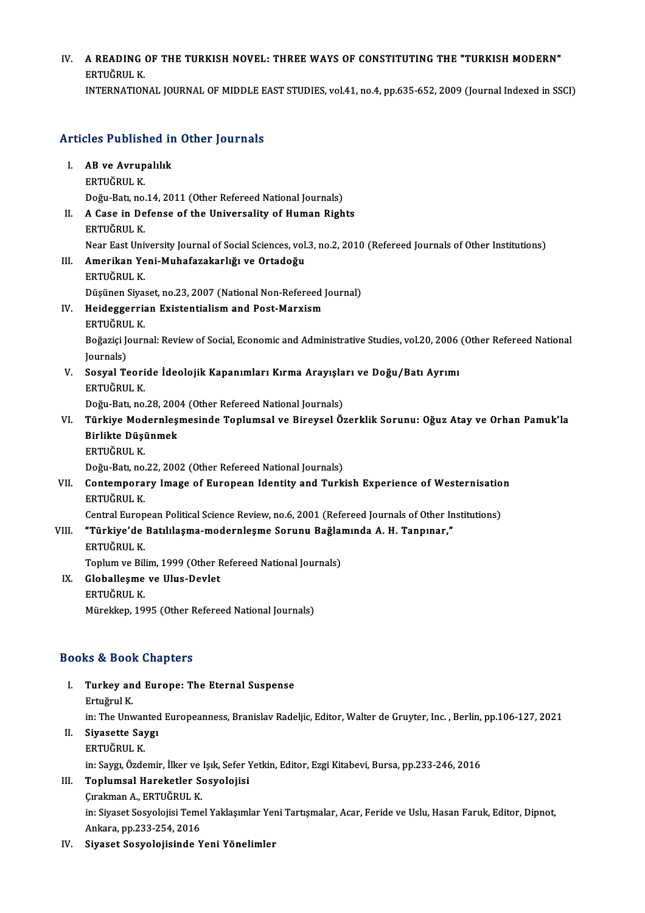## IV. A READING OF THE TURKISH NOVEL: THREE WAYS OF CONSTITUTING THE "TURKISH MODERN"<br>FRIHÖRUL K A READING<br>ERTUĞRUL K.<br>INTERNATION ERTUĞRUL K.<br>INTERNATIONAL JOURNAL OF MIDDLE EAST STUDIES, vol.41, no.4, pp.635-652, 2009 (Journal Indexed in SSCI)

# Articles Published in Other Journals

| <b>Articles Published in Other Journals</b> |                                                                                                                |
|---------------------------------------------|----------------------------------------------------------------------------------------------------------------|
| L                                           | AB ve Avrupalılık                                                                                              |
|                                             | ERTUĞRUL K                                                                                                     |
|                                             | Doğu-Batı, no.14, 2011 (Other Refereed National Journals)                                                      |
| Н.                                          | A Case in Defense of the Universality of Human Rights                                                          |
|                                             | ERTUĞRUL K                                                                                                     |
|                                             | Near East University Journal of Social Sciences, vol.3, no.2, 2010 (Refereed Journals of Other Institutions)   |
| III.                                        | Amerikan Yeni-Muhafazakarlığı ve Ortadoğu                                                                      |
|                                             | ERTUĞRUL K                                                                                                     |
|                                             | Düşünen Siyaset, no.23, 2007 (National Non-Refereed Journal)                                                   |
| IV.                                         | Heideggerrian Existentialism and Post-Marxism                                                                  |
|                                             | ERTUĞRUL K                                                                                                     |
|                                             | Boğaziçi Journal: Review of Social, Economic and Administrative Studies, vol.20, 2006 (Other Refereed National |
|                                             | Journals)                                                                                                      |
| V.                                          | Sosyal Teoride İdeolojik Kapanımları Kırma Arayışları ve Doğu/Batı Ayrımı                                      |
|                                             | ERTUĞRUL K                                                                                                     |
|                                             | Doğu-Batı, no.28, 2004 (Other Refereed National Journals)                                                      |
| VI.                                         | Türkiye Modernleşmesinde Toplumsal ve Bireysel Özerklik Sorunu: Oğuz Atay ve Orhan Pamuk'la                    |
|                                             | Birlikte Düşünmek                                                                                              |
|                                             | ERTUĞRUL K                                                                                                     |
|                                             | Doğu-Batı, no.22, 2002 (Other Refereed National Journals)                                                      |
| VII.                                        | Contemporary Image of European Identity and Turkish Experience of Westernisation                               |
|                                             | ERTUĞRUL K                                                                                                     |
|                                             | Central European Political Science Review, no.6, 2001 (Refereed Journals of Other Institutions)                |
| VIII.                                       | "Türkiye'de Batılılaşma-modernleşme Sorunu Bağlamında A. H. Tanpınar,"                                         |
|                                             | ERTUĞRUL K                                                                                                     |
|                                             | Toplum ve Bilim, 1999 (Other Refereed National Journals)                                                       |
| IX.                                         | Globalleşme ve Ulus-Devlet                                                                                     |
|                                             | ERTUĞRUL K                                                                                                     |
|                                             | Mürekkep, 1995 (Other Refereed National Journals)                                                              |
|                                             |                                                                                                                |

### Books&Book Chapters

I. Turkey and Europe: The Eternal Suspense Ertuğrul K.<br>Ertuğrul K.<br>in: The Uny Turkey and Europe: The Eternal Suspense<br>Ertuğrul K.<br>in: The Unwanted Europeanness, Branislav Radeljic, Editor, Walter de Gruyter, Inc. , Berlin, pp.106-127, 2021<br>Sivesette Sever Ertuğrul K.<br>in: The Unwanted<br>II. Siyasette Saygı<br>ERTUĞRUL K.

## in: The Unwar<br>Siyasette Say<br>ERTUĞRUL K.<br>in: Sayar Özde Siyasette Saygı<br>ERTUĞRUL K.<br>in: Saygı, Özdemir, İlker ve Işık, Sefer Yetkin, Editor, Ezgi Kitabevi, Bursa, pp.233-246, 2016<br>Tanlumaal Hanakatlar Sasyalajisi

- III. Toplumsal Hareketler Sosyolojisi<br>Cirakman A., ERTUĞRUL K. in: Saygı, Özdemir, İlker ve<br>**Toplumsal Hareketler S**o<br>Çırakman A., ERTUĞRUL K.<br>in: Siyaset Sosyalajisi Tama Toplumsal Hareketler Sosyolojisi<br>Çırakman A., ERTUĞRUL K.<br>in: Siyaset Sosyolojisi Temel Yaklaşımlar Yeni Tartışmalar, Acar, Feride ve Uslu, Hasan Faruk, Editor, Dipnot,<br>Ankara, pp.222.254.2016 Çırakman A., ERTUĞRUL K.<br>in: Siyaset Sosyolojisi Teme<br>Ankara, pp.233-254, 2016<br>Siyaset Sosyolojisinde Y
- IV. Siyaset Sosyolojisinde Yeni Yönelimler